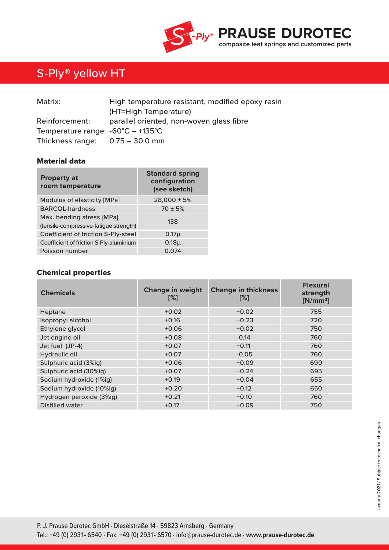

# S-Ply® yellow HT

| Matrix:                                           | High temperature resistant, modified epoxy resin |
|---------------------------------------------------|--------------------------------------------------|
|                                                   | (HT=High Temperature)                            |
| Reinforcement:                                    | parallel oriented, non-woven glass fibre         |
| Temperature range: $-60^{\circ}C - +135^{\circ}C$ |                                                  |
| Thickness range: $0.75 - 30.0$ mm                 |                                                  |

### Material data

| <b>Property at</b><br>room temperature                              | <b>Standard spring</b><br>configuration<br>(see sketch) |  |  |  |
|---------------------------------------------------------------------|---------------------------------------------------------|--|--|--|
| Modulus of elasticity [MPa]                                         | $28,000 \pm 5%$                                         |  |  |  |
| <b>BARCOL-hardness</b>                                              | $70 \pm 5%$                                             |  |  |  |
| Max. bending stress [MPa]<br>(tensile-compressive-fatigue strength) | 138                                                     |  |  |  |
| Coefficient of friction S-Ply-steel                                 | 0.17 <sub>µ</sub>                                       |  |  |  |
| Coefficient of friction S-Ply-aluminium                             | 0.18 <sub>µ</sub>                                       |  |  |  |
| Poisson number                                                      | 0.074                                                   |  |  |  |

## Chemical properties

| <b>Chemicals</b>         | <b>Change in weight</b><br>[%] | <b>Change in thickness</b><br>[%] | <b>Flexural</b><br>strength<br>$[N/mm^2]$ |
|--------------------------|--------------------------------|-----------------------------------|-------------------------------------------|
| Heptane                  | $+0.02$                        | $+0.02$                           | 755                                       |
| Isopropyl alcohol        | $+0.16$                        | $+0.23$                           | 720                                       |
| Ethylene glycol          | $+0.06$                        | $+0.02$                           | 750                                       |
| Jet engine oil           | $+0.08$                        | $-0.14$                           | 760                                       |
| Jet fuel (JP-4)          | $+0.07$                        | $+0.11$                           | 760                                       |
| Hydraulic oil            | $+0.07$                        | $-0.05$                           | 760                                       |
| Sulphuric acid (3%ig)    | $+0.06$                        | $+0.09$                           | 690                                       |
| Sulphuric acid (30%ig)   | $+0.07$                        | $+0.24$                           | 695                                       |
| Sodium hydroxide (1%ig)  | $+0.19$                        | $+0.04$                           | 655                                       |
| Sodium hydroxide (10%ig) | $+0.20$                        | $+0.12$                           | 650                                       |
| Hydrogen peroxide (3%ig) | $+0.21$                        | $+0.10$                           | 760                                       |
| <b>Distilled water</b>   | $+0.17$                        | $+0.09$                           | 750                                       |